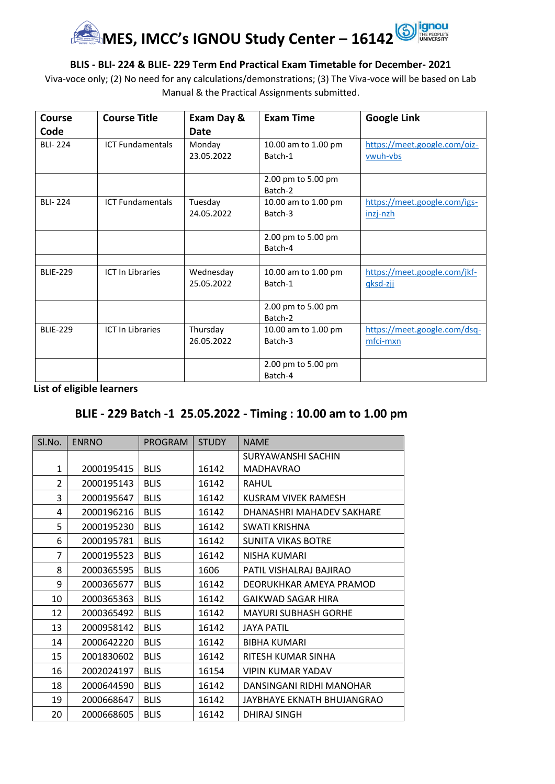

#### **BLIS - BLI- 224 & BLIE- 229 Term End Practical Exam Timetable for December- 2021**

Viva-voce only; (2) No need for any calculations/demonstrations; (3) The Viva-voce will be based on Lab Manual & the Practical Assignments submitted.

| <b>Course</b>   | <b>Course Title</b>     | Exam Day &              | <b>Exam Time</b>               | <b>Google Link</b>                       |
|-----------------|-------------------------|-------------------------|--------------------------------|------------------------------------------|
| Code            |                         | Date                    |                                |                                          |
| <b>BLI-224</b>  | <b>ICT Fundamentals</b> | Monday<br>23.05.2022    | 10.00 am to 1.00 pm<br>Batch-1 | https://meet.google.com/oiz-<br>vwuh-vbs |
|                 |                         |                         | 2.00 pm to 5.00 pm<br>Batch-2  |                                          |
| <b>BLI-224</b>  | <b>ICT Fundamentals</b> | Tuesday<br>24.05.2022   | 10.00 am to 1.00 pm<br>Batch-3 | https://meet.google.com/igs-<br>inzj-nzh |
|                 |                         |                         | 2.00 pm to 5.00 pm<br>Batch-4  |                                          |
| <b>BLIE-229</b> | <b>ICT In Libraries</b> | Wednesday<br>25.05.2022 | 10.00 am to 1.00 pm<br>Batch-1 | https://meet.google.com/jkf-<br>gksd-zji |
|                 |                         |                         | 2.00 pm to 5.00 pm<br>Batch-2  |                                          |
| <b>BLIE-229</b> | <b>ICT In Libraries</b> | Thursday<br>26.05.2022  | 10.00 am to 1.00 pm<br>Batch-3 | https://meet.google.com/dsq-<br>mfci-mxn |
|                 |                         |                         | 2.00 pm to 5.00 pm<br>Batch-4  |                                          |

**List of eligible learners**

### **BLIE - 229 Batch -1 25.05.2022 - Timing : 10.00 am to 1.00 pm**

| SI.No.       | <b>ENRNO</b> | <b>PROGRAM</b> | <b>STUDY</b> | <b>NAME</b>                 |
|--------------|--------------|----------------|--------------|-----------------------------|
|              |              |                |              | SURYAWANSHI SACHIN          |
| $\mathbf{1}$ | 2000195415   | <b>BLIS</b>    | 16142        | <b>MADHAVRAO</b>            |
| 2            | 2000195143   | <b>BLIS</b>    | 16142        | <b>RAHUL</b>                |
| 3            | 2000195647   | <b>BLIS</b>    | 16142        | KUSRAM VIVEK RAMESH         |
| 4            | 2000196216   | <b>BLIS</b>    | 16142        | DHANASHRI MAHADEV SAKHARE   |
| 5            | 2000195230   | <b>BLIS</b>    | 16142        | SWATI KRISHNA               |
| 6            | 2000195781   | <b>BLIS</b>    | 16142        | <b>SUNITA VIKAS BOTRE</b>   |
| 7            | 2000195523   | <b>BLIS</b>    | 16142        | NISHA KUMARI                |
| 8            | 2000365595   | <b>BLIS</b>    | 1606         | PATIL VISHALRAJ BAJIRAO     |
| 9            | 2000365677   | <b>BLIS</b>    | 16142        | DEORUKHKAR AMEYA PRAMOD     |
| 10           | 2000365363   | <b>BLIS</b>    | 16142        | <b>GAIKWAD SAGAR HIRA</b>   |
| 12           | 2000365492   | <b>BLIS</b>    | 16142        | <b>MAYURI SUBHASH GORHE</b> |
| 13           | 2000958142   | <b>BLIS</b>    | 16142        | <b>JAYA PATIL</b>           |
| 14           | 2000642220   | <b>BLIS</b>    | 16142        | <b>BIBHA KUMARI</b>         |
| 15           | 2001830602   | <b>BLIS</b>    | 16142        | RITESH KUMAR SINHA          |
| 16           | 2002024197   | <b>BLIS</b>    | 16154        | <b>VIPIN KUMAR YADAV</b>    |
| 18           | 2000644590   | <b>BLIS</b>    | 16142        | DANSINGANI RIDHI MANOHAR    |
| 19           | 2000668647   | <b>BLIS</b>    | 16142        | JAYBHAYE EKNATH BHUJANGRAO  |
| 20           | 2000668605   | <b>BLIS</b>    | 16142        | DHIRAJ SINGH                |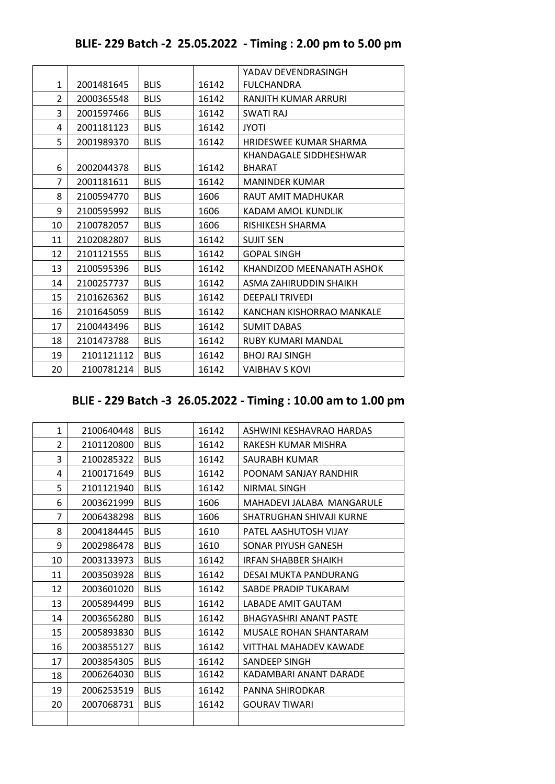| BLIE- 229 Batch -2 25.05.2022 - Timing: 2.00 pm to 5.00 pm |  |
|------------------------------------------------------------|--|
|------------------------------------------------------------|--|

|                |            |             |       | YADAV DEVENDRASINGH       |
|----------------|------------|-------------|-------|---------------------------|
| $\mathbf{1}$   | 2001481645 | <b>BLIS</b> | 16142 | <b>FULCHANDRA</b>         |
| $\overline{2}$ | 2000365548 | <b>BLIS</b> | 16142 | RANJITH KUMAR ARRURI      |
| 3              | 2001597466 | <b>BLIS</b> | 16142 | <b>SWATI RAJ</b>          |
| 4              | 2001181123 | <b>BLIS</b> | 16142 | <b>JYOTI</b>              |
| 5              | 2001989370 | <b>BLIS</b> | 16142 | HRIDESWEE KUMAR SHARMA    |
|                |            |             |       | KHANDAGALE SIDDHESHWAR    |
| 6              | 2002044378 | <b>BLIS</b> | 16142 | <b>BHARAT</b>             |
| 7              | 2001181611 | <b>BLIS</b> | 16142 | <b>MANINDER KUMAR</b>     |
| 8              | 2100594770 | <b>BLIS</b> | 1606  | RAUT AMIT MADHUKAR        |
| 9              | 2100595992 | <b>BLIS</b> | 1606  | KADAM AMOL KUNDLIK        |
| 10             | 2100782057 | <b>BLIS</b> | 1606  | RISHIKESH SHARMA          |
| 11             | 2102082807 | <b>BLIS</b> | 16142 | <b>SUJIT SEN</b>          |
| 12             | 2101121555 | <b>BLIS</b> | 16142 | <b>GOPAL SINGH</b>        |
| 13             | 2100595396 | <b>BLIS</b> | 16142 | KHANDIZOD MEENANATH ASHOK |
| 14             | 2100257737 | <b>BLIS</b> | 16142 | ASMA ZAHIRUDDIN SHAIKH    |
| 15             | 2101626362 | <b>BLIS</b> | 16142 | <b>DEEPALI TRIVEDI</b>    |
| 16             | 2101645059 | <b>BLIS</b> | 16142 | KANCHAN KISHORRAO MANKALE |
| 17             | 2100443496 | <b>BLIS</b> | 16142 | <b>SUMIT DABAS</b>        |
| 18             | 2101473788 | <b>BLIS</b> | 16142 | <b>RUBY KUMARI MANDAL</b> |
| 19             | 2101121112 | <b>BLIS</b> | 16142 | <b>BHOJ RAJ SINGH</b>     |
| 20             | 2100781214 | <b>BLIS</b> | 16142 | <b>VAIBHAV S KOVI</b>     |
|                |            |             |       |                           |

# **BLIE - 229 Batch -3 26.05.2022 - Timing : 10.00 am to 1.00 pm**

| $\mathbf{1}$   | 2100640448 | <b>BLIS</b> | 16142 | ASHWINI KESHAVRAO HARDAS      |
|----------------|------------|-------------|-------|-------------------------------|
| $\overline{2}$ | 2101120800 | <b>BLIS</b> | 16142 | RAKESH KUMAR MISHRA           |
| 3              | 2100285322 | <b>BLIS</b> | 16142 | SAURABH KUMAR                 |
| 4              | 2100171649 | <b>BLIS</b> | 16142 | POONAM SANJAY RANDHIR         |
| 5              | 2101121940 | <b>BLIS</b> | 16142 | NIRMAL SINGH                  |
| 6              | 2003621999 | <b>BLIS</b> | 1606  | MAHADEVI JALABA MANGARULE     |
| 7              | 2006438298 | <b>BLIS</b> | 1606  | SHATRUGHAN SHIVAJI KURNE      |
| 8              | 2004184445 | <b>BLIS</b> | 1610  | PATEL AASHUTOSH VIJAY         |
| 9              | 2002986478 | <b>BLIS</b> | 1610  | SONAR PIYUSH GANESH           |
| 10             | 2003133973 | <b>BLIS</b> | 16142 | <b>IRFAN SHABBER SHAIKH</b>   |
| 11             | 2003503928 | <b>BLIS</b> | 16142 | DESAI MUKTA PANDURANG         |
| 12             | 2003601020 | <b>BLIS</b> | 16142 | SABDE PRADIP TUKARAM          |
| 13             | 2005894499 | <b>BLIS</b> | 16142 | LABADE AMIT GAUTAM            |
| 14             | 2003656280 | <b>BLIS</b> | 16142 | <b>BHAGYASHRI ANANT PASTE</b> |
| 15             | 2005893830 | <b>BLIS</b> | 16142 | MUSALE ROHAN SHANTARAM        |
| 16             | 2003855127 | <b>BLIS</b> | 16142 | VITTHAL MAHADEV KAWADE        |
| 17             | 2003854305 | <b>BLIS</b> | 16142 | SANDEEP SINGH                 |
| 18             | 2006264030 | <b>BLIS</b> | 16142 | KADAMBARI ANANT DARADE        |
| 19             | 2006253519 | <b>BLIS</b> | 16142 | PANNA SHIRODKAR               |
| 20             | 2007068731 | <b>BLIS</b> | 16142 | <b>GOURAV TIWARI</b>          |
|                |            |             |       |                               |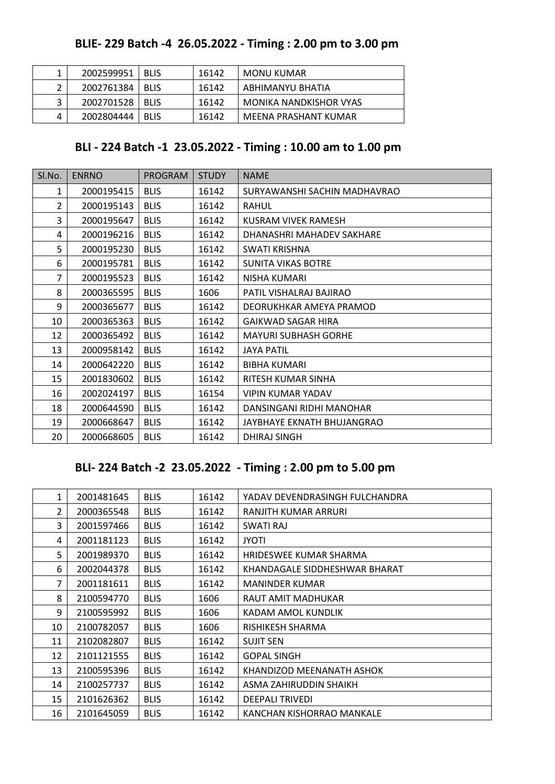### **BLIE- 229 Batch -4 26.05.2022 - Timing : 2.00 pm to 3.00 pm**

|              | 2002599951 | <b>BLIS</b> | 16142 | MONU KUMAR             |
|--------------|------------|-------------|-------|------------------------|
|              | 2002761384 | <b>BLIS</b> | 16142 | ABHIMANYU BHATIA       |
| $\mathbf{a}$ | 2002701528 | <b>BLIS</b> | 16142 | MONIKA NANDKISHOR VYAS |
|              | 2002804444 | <b>BLIS</b> | 16142 | MEENA PRASHANT KUMAR   |

### **BLI - 224 Batch -1 23.05.2022 - Timing : 10.00 am to 1.00 pm**

| SI.No.         | <b>ENRNO</b> | <b>PROGRAM</b> | <b>STUDY</b> | <b>NAME</b>                  |
|----------------|--------------|----------------|--------------|------------------------------|
| 1              | 2000195415   | <b>BLIS</b>    | 16142        | SURYAWANSHI SACHIN MADHAVRAO |
| $\overline{2}$ | 2000195143   | <b>BLIS</b>    | 16142        | <b>RAHUL</b>                 |
| 3              | 2000195647   | <b>BLIS</b>    | 16142        | KUSRAM VIVEK RAMESH          |
| 4              | 2000196216   | <b>BLIS</b>    | 16142        | DHANASHRI MAHADEV SAKHARE    |
| 5              | 2000195230   | <b>BLIS</b>    | 16142        | SWATI KRISHNA                |
| 6              | 2000195781   | <b>BLIS</b>    | 16142        | <b>SUNITA VIKAS BOTRE</b>    |
| 7              | 2000195523   | <b>BLIS</b>    | 16142        | NISHA KUMARI                 |
| 8              | 2000365595   | <b>BLIS</b>    | 1606         | PATIL VISHALRAJ BAJIRAO      |
| 9              | 2000365677   | <b>BLIS</b>    | 16142        | DEORUKHKAR AMEYA PRAMOD      |
| 10             | 2000365363   | <b>BLIS</b>    | 16142        | <b>GAIKWAD SAGAR HIRA</b>    |
| 12             | 2000365492   | <b>BLIS</b>    | 16142        | <b>MAYURI SUBHASH GORHE</b>  |
| 13             | 2000958142   | <b>BLIS</b>    | 16142        | <b>JAYA PATIL</b>            |
| 14             | 2000642220   | <b>BLIS</b>    | 16142        | <b>BIBHA KUMARI</b>          |
| 15             | 2001830602   | <b>BLIS</b>    | 16142        | RITESH KUMAR SINHA           |
| 16             | 2002024197   | <b>BLIS</b>    | 16154        | <b>VIPIN KUMAR YADAV</b>     |
| 18             | 2000644590   | <b>BLIS</b>    | 16142        | DANSINGANI RIDHI MANOHAR     |
| 19             | 2000668647   | <b>BLIS</b>    | 16142        | JAYBHAYE EKNATH BHUJANGRAO   |
| 20             | 2000668605   | <b>BLIS</b>    | 16142        | <b>DHIRAJ SINGH</b>          |

### **BLI- 224 Batch -2 23.05.2022 - Timing : 2.00 pm to 5.00 pm**

| $\mathbf 1$    | 2001481645 | <b>BLIS</b> | 16142 | YADAV DEVENDRASINGH FULCHANDRA |
|----------------|------------|-------------|-------|--------------------------------|
| $\overline{2}$ | 2000365548 | <b>BLIS</b> | 16142 | RANJITH KUMAR ARRURI           |
| 3              | 2001597466 | <b>BLIS</b> | 16142 | SWATI RAJ                      |
| 4              | 2001181123 | <b>BLIS</b> | 16142 | <b>JYOTI</b>                   |
| 5              | 2001989370 | <b>BLIS</b> | 16142 | HRIDESWEE KUMAR SHARMA         |
| 6              | 2002044378 | <b>BLIS</b> | 16142 | KHANDAGALE SIDDHESHWAR BHARAT  |
| 7              | 2001181611 | <b>BLIS</b> | 16142 | <b>MANINDER KUMAR</b>          |
| 8              | 2100594770 | <b>BLIS</b> | 1606  | RAUT AMIT MADHUKAR             |
| 9              | 2100595992 | <b>BLIS</b> | 1606  | KADAM AMOL KUNDLIK             |
| 10             | 2100782057 | <b>BLIS</b> | 1606  | RISHIKESH SHARMA               |
| 11             | 2102082807 | <b>BLIS</b> | 16142 | <b>SUJIT SEN</b>               |
| 12             | 2101121555 | <b>BLIS</b> | 16142 | <b>GOPAL SINGH</b>             |
| 13             | 2100595396 | <b>BLIS</b> | 16142 | KHANDIZOD MEENANATH ASHOK      |
| 14             | 2100257737 | <b>BLIS</b> | 16142 | ASMA ZAHIRUDDIN SHAIKH         |
| 15             | 2101626362 | <b>BLIS</b> | 16142 | <b>DEEPALI TRIVEDI</b>         |
| 16             | 2101645059 | <b>BLIS</b> | 16142 | KANCHAN KISHORRAO MANKALE      |